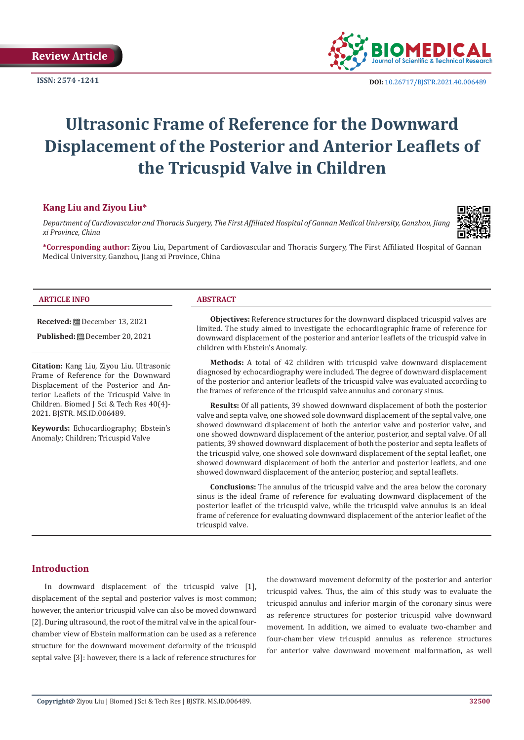

**ISSN:** 2574 -1241 **DOI:** [10.26717/BJSTR.2021.40.006489](https://dx.doi.org/10.26717/BJSTR.2021.40.006489)

# **Ultrasonic Frame of Reference for the Downward Displacement of the Posterior and Anterior Leaflets of the Tricuspid Valve in Children**

## **Kang Liu and Ziyou Liu\***

*Department of Cardiovascular and Thoracis Surgery, The First Affiliated Hospital of Gannan Medical University, Ganzhou, Jiang xi Province, China*



**\*Corresponding author:** Ziyou Liu, Department of Cardiovascular and Thoracis Surgery, The First Affiliated Hospital of Gannan Medical University, Ganzhou, Jiang xi Province, China

#### **ARTICLE INFO ABSTRACT**

**Received:** December 13, 2021

**Published:** December 20, 2021

**Citation:** Kang Liu, Ziyou Liu. Ultrasonic Frame of Reference for the Downward Displacement of the Posterior and Anterior Leaflets of the Tricuspid Valve in Children. Biomed J Sci & Tech Res 40(4)- 2021. BJSTR. MS.ID.006489.

**Keywords:** Echocardiography; Ebstein's Anomaly; Children; Tricuspid Valve

**Objectives:** Reference structures for the downward displaced tricuspid valves are limited. The study aimed to investigate the echocardiographic frame of reference for downward displacement of the posterior and anterior leaflets of the tricuspid valve in children with Ebstein's Anomaly.

**Methods:** A total of 42 children with tricuspid valve downward displacement diagnosed by echocardiography were included. The degree of downward displacement of the posterior and anterior leaflets of the tricuspid valve was evaluated according to the frames of reference of the tricuspid valve annulus and coronary sinus.

**Results:** Of all patients, 39 showed downward displacement of both the posterior valve and septa valve, one showed sole downward displacement of the septal valve, one showed downward displacement of both the anterior valve and posterior valve, and one showed downward displacement of the anterior, posterior, and septal valve. Of all patients, 39 showed downward displacement of both the posterior and septa leaflets of the tricuspid valve, one showed sole downward displacement of the septal leaflet, one showed downward displacement of both the anterior and posterior leaflets, and one showed downward displacement of the anterior, posterior, and septal leaflets.

**Conclusions:** The annulus of the tricuspid valve and the area below the coronary sinus is the ideal frame of reference for evaluating downward displacement of the posterior leaflet of the tricuspid valve, while the tricuspid valve annulus is an ideal frame of reference for evaluating downward displacement of the anterior leaflet of the tricuspid valve.

## **Introduction**

In downward displacement of the tricuspid valve [1], displacement of the septal and posterior valves is most common; however, the anterior tricuspid valve can also be moved downward [2]. During ultrasound, the root of the mitral valve in the apical fourchamber view of Ebstein malformation can be used as a reference structure for the downward movement deformity of the tricuspid septal valve [3]: however, there is a lack of reference structures for

the downward movement deformity of the posterior and anterior tricuspid valves. Thus, the aim of this study was to evaluate the tricuspid annulus and inferior margin of the coronary sinus were as reference structures for posterior tricuspid valve downward movement. In addition, we aimed to evaluate two-chamber and four-chamber view tricuspid annulus as reference structures for anterior valve downward movement malformation, as well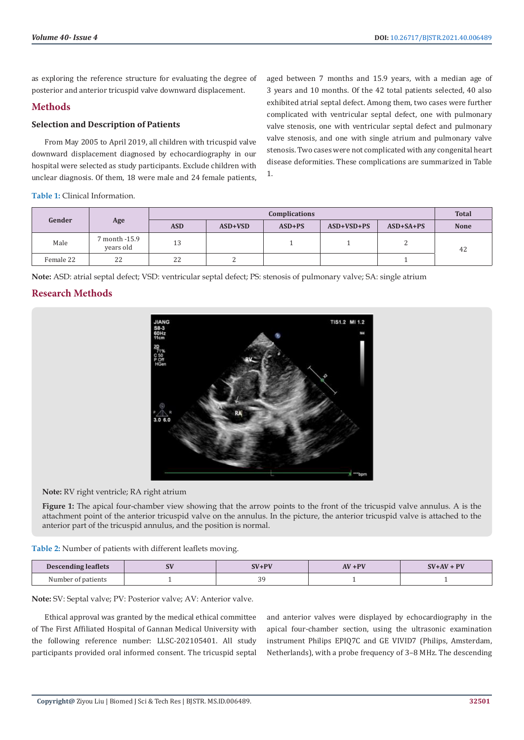as exploring the reference structure for evaluating the degree of posterior and anterior tricuspid valve downward displacement.

# **Methods**

#### **Selection and Description of Patients**

From May 2005 to April 2019, all children with tricuspid valve downward displacement diagnosed by echocardiography in our hospital were selected as study participants. Exclude children with unclear diagnosis. Of them, 18 were male and 24 female patients,

**Table 1:** Clinical Information.

aged between 7 months and 15.9 years, with a median age of 3 years and 10 months. Of the 42 total patients selected, 40 also exhibited atrial septal defect. Among them, two cases were further complicated with ventricular septal defect, one with pulmonary valve stenosis, one with ventricular septal defect and pulmonary valve stenosis, and one with single atrium and pulmonary valve stenosis. Two cases were not complicated with any congenital heart disease deformities. These complications are summarized in Table 1.

| Gender    | Age                        | <b>Complications</b> |           |          |              |             | <b>Total</b> |
|-----------|----------------------------|----------------------|-----------|----------|--------------|-------------|--------------|
|           |                            | <b>ASD</b>           | $ASD+VSD$ | $ASD+PS$ | $ASD+VSD+PS$ | $ASD+SA+PS$ | <b>None</b>  |
| Male      | 7 month -15.9<br>years old | 13                   |           |          |              |             | 42           |
| Female 22 | 22                         | 22                   |           |          |              |             |              |

**Note:** ASD: atrial septal defect; VSD: ventricular septal defect; PS: stenosis of pulmonary valve; SA: single atrium

# **Research Methods**



**Note:** RV right ventricle; RA right atrium

**Figure 1:** The apical four-chamber view showing that the arrow points to the front of the tricuspid valve annulus. A is the attachment point of the anterior tricuspid valve on the annulus. In the picture, the anterior tricuspid valve is attached to the anterior part of the tricuspid annulus, and the position is normal.

**Table 2:** Number of patients with different leaflets moving.

| <b>Descending leaflets</b> | υv | $\mathbf{N}$ in $\mathbf{N}$ | $AV + PV$ | $SV+AV+PV$ |
|----------------------------|----|------------------------------|-----------|------------|
| Number of patients<br>.    |    | ~~                           |           |            |

**Note:** SV: Septal valve; PV: Posterior valve; AV: Anterior valve.

Ethical approval was granted by the medical ethical committee of The First Affiliated Hospital of Gannan Medical University with the following reference number: LLSC-202105401. All study participants provided oral informed consent. The tricuspid septal

and anterior valves were displayed by echocardiography in the apical four-chamber section, using the ultrasonic examination instrument Philips EPIQ7C and GE VIVID7 (Philips, Amsterdam, Netherlands), with a probe frequency of 3–8 MHz. The descending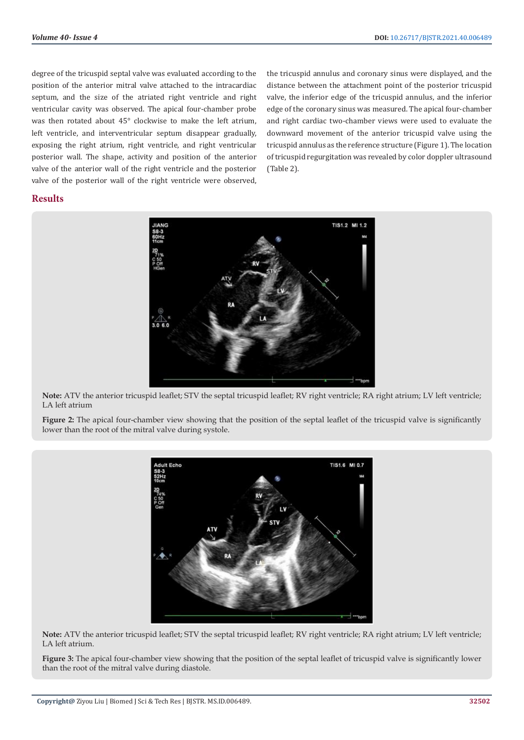degree of the tricuspid septal valve was evaluated according to the position of the anterior mitral valve attached to the intracardiac septum, and the size of the atriated right ventricle and right ventricular cavity was observed. The apical four-chamber probe was then rotated about 45° clockwise to make the left atrium, left ventricle, and interventricular septum disappear gradually, exposing the right atrium, right ventricle, and right ventricular posterior wall. The shape, activity and position of the anterior valve of the anterior wall of the right ventricle and the posterior valve of the posterior wall of the right ventricle were observed, the tricuspid annulus and coronary sinus were displayed, and the distance between the attachment point of the posterior tricuspid valve, the inferior edge of the tricuspid annulus, and the inferior edge of the coronary sinus was measured. The apical four-chamber and right cardiac two-chamber views were used to evaluate the downward movement of the anterior tricuspid valve using the tricuspid annulus as the reference structure (Figure 1). The location of tricuspid regurgitation was revealed by color doppler ultrasound (Table 2).

## **Results**



**Note:** ATV the anterior tricuspid leaflet; STV the septal tricuspid leaflet; RV right ventricle; RA right atrium; LV left ventricle; LA left atrium

**Figure 2:** The apical four-chamber view showing that the position of the septal leaflet of the tricuspid valve is significantly lower than the root of the mitral valve during systole.



**Note:** ATV the anterior tricuspid leaflet; STV the septal tricuspid leaflet; RV right ventricle; RA right atrium; LV left ventricle; LA left atrium.

**Figure 3:** The apical four-chamber view showing that the position of the septal leaflet of tricuspid valve is significantly lower than the root of the mitral valve during diastole.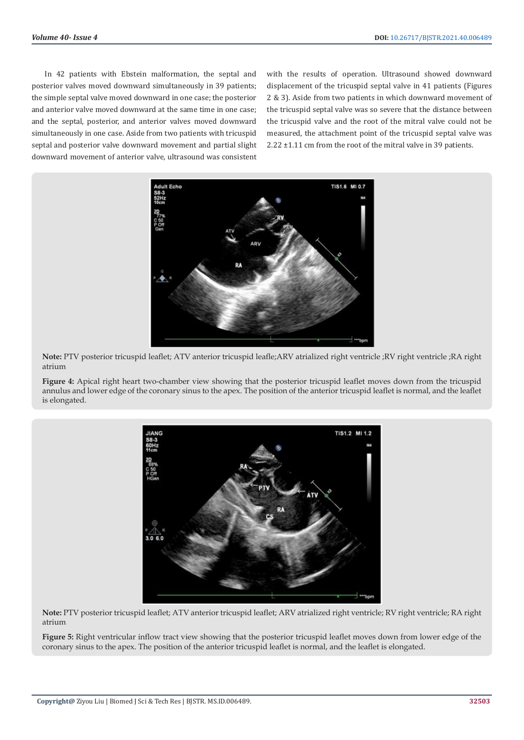In 42 patients with Ebstein malformation, the septal and posterior valves moved downward simultaneously in 39 patients; the simple septal valve moved downward in one case; the posterior and anterior valve moved downward at the same time in one case; and the septal, posterior, and anterior valves moved downward simultaneously in one case. Aside from two patients with tricuspid septal and posterior valve downward movement and partial slight downward movement of anterior valve, ultrasound was consistent

with the results of operation. Ultrasound showed downward displacement of the tricuspid septal valve in 41 patients (Figures 2 & 3). Aside from two patients in which downward movement of the tricuspid septal valve was so severe that the distance between the tricuspid valve and the root of the mitral valve could not be measured, the attachment point of the tricuspid septal valve was 2.22 ±1.11 cm from the root of the mitral valve in 39 patients.



**Note:** PTV posterior tricuspid leaflet; ATV anterior tricuspid leafle;ARV atrialized right ventricle ;RV right ventricle ;RA right atrium

**Figure 4:** Apical right heart two-chamber view showing that the posterior tricuspid leaflet moves down from the tricuspid annulus and lower edge of the coronary sinus to the apex. The position of the anterior tricuspid leaflet is normal, and the leaflet is elongated.



**Note:** PTV posterior tricuspid leaflet; ATV anterior tricuspid leaflet; ARV atrialized right ventricle; RV right ventricle; RA right atrium

**Figure 5:** Right ventricular inflow tract view showing that the posterior tricuspid leaflet moves down from lower edge of the coronary sinus to the apex. The position of the anterior tricuspid leaflet is normal, and the leaflet is elongated.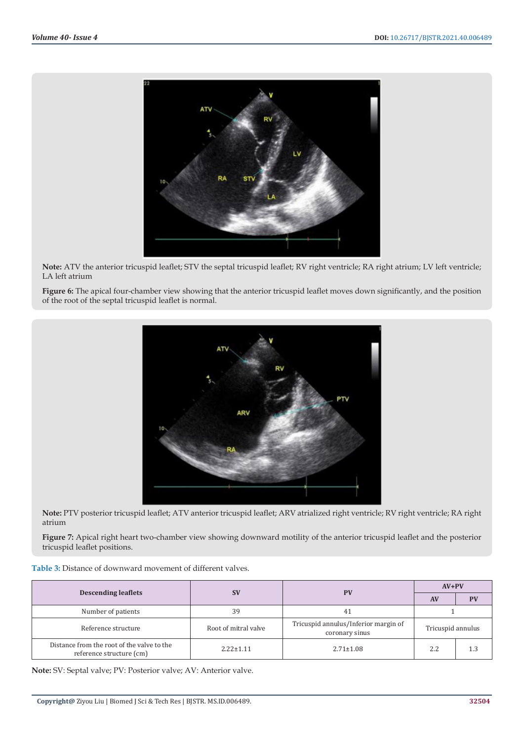

**Note:** ATV the anterior tricuspid leaflet; STV the septal tricuspid leaflet; RV right ventricle; RA right atrium; LV left ventricle; LA left atrium

**Figure 6:** The apical four-chamber view showing that the anterior tricuspid leaflet moves down significantly, and the position of the root of the septal tricuspid leaflet is normal.



**Note:** PTV posterior tricuspid leaflet; ATV anterior tricuspid leaflet; ARV atrialized right ventricle; RV right ventricle; RA right atrium

**Figure 7:** Apical right heart two-chamber view showing downward motility of the anterior tricuspid leaflet and the posterior tricuspid leaflet positions.

|                                                                        |                      | <b>PV</b>                                              | $AV+PV$           |           |
|------------------------------------------------------------------------|----------------------|--------------------------------------------------------|-------------------|-----------|
| <b>Descending leaflets</b>                                             | <b>SV</b>            |                                                        | <b>AV</b>         | <b>PV</b> |
| Number of patients                                                     | 39                   | 41                                                     |                   |           |
| Reference structure                                                    | Root of mitral valve | Tricuspid annulus/Inferior margin of<br>coronary sinus | Tricuspid annulus |           |
| Distance from the root of the valve to the<br>reference structure (cm) | $2.22 \pm 1.11$      | $2.71 \pm 1.08$                                        | 2.2               | 1.3       |

**Note:** SV: Septal valve; PV: Posterior valve; AV: Anterior valve.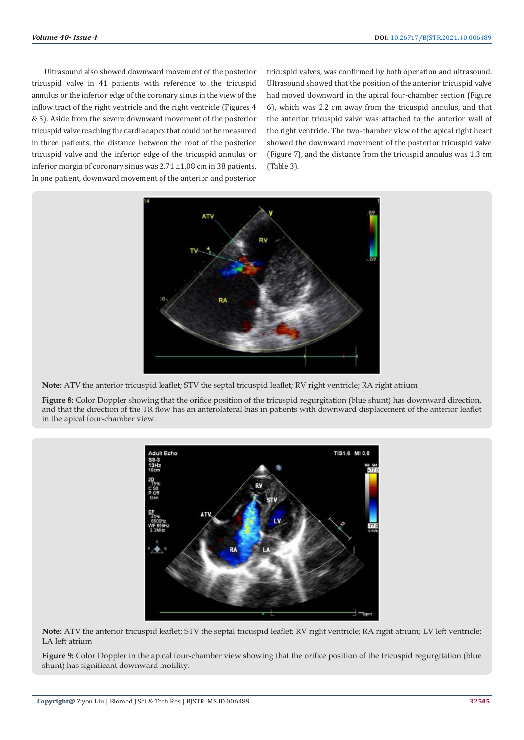Ultrasound also showed downward movement of the posterior tricuspid valve in 41 patients with reference to the tricuspid annulus or the inferior edge of the coronary sinus in the view of the inflow tract of the right ventricle and the right ventricle (Figures 4 & 5). Aside from the severe downward movement of the posterior tricuspid valve reaching the cardiac apex that could not be measured in three patients, the distance between the root of the posterior tricuspid valve and the inferior edge of the tricuspid annulus or inferior margin of coronary sinus was 2.71 ±1.08 cm in 38 patients. In one patient, downward movement of the anterior and posterior

tricuspid valves, was confirmed by both operation and ultrasound. Ultrasound showed that the position of the anterior tricuspid valve had moved downward in the apical four-chamber section (Figure 6), which was 2.2 cm away from the tricuspid annulus, and that the anterior tricuspid valve was attached to the anterior wall of the right ventricle. The two-chamber view of the apical right heart showed the downward movement of the posterior tricuspid valve (Figure 7), and the distance from the tricuspid annulus was 1.3 cm (Table 3).



**Note:** ATV the anterior tricuspid leaflet; STV the septal tricuspid leaflet; RV right ventricle; RA right atrium

**Figure 8:** Color Doppler showing that the orifice position of the tricuspid regurgitation (blue shunt) has downward direction, and that the direction of the TR flow has an anterolateral bias in patients with downward displacement of the anterior leaflet in the apical four-chamber view.



**Note:** ATV the anterior tricuspid leaflet; STV the septal tricuspid leaflet; RV right ventricle; RA right atrium; LV left ventricle; LA left atrium

**Figure 9:** Color Doppler in the apical four-chamber view showing that the orifice position of the tricuspid regurgitation (blue shunt) has significant downward motility.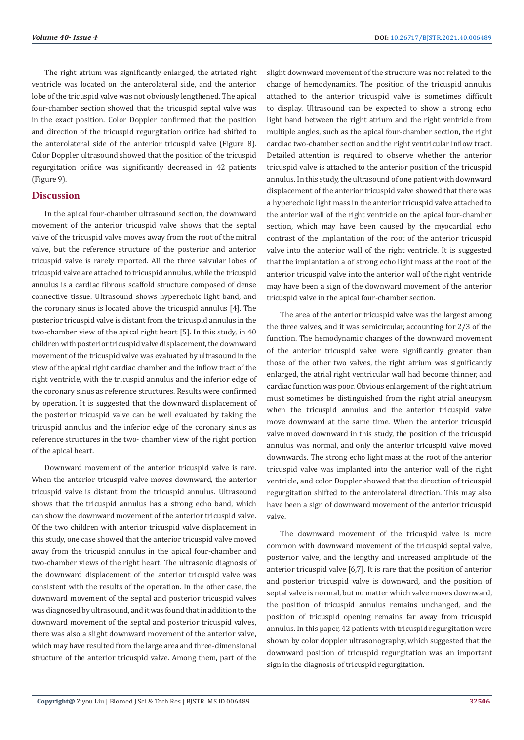The right atrium was significantly enlarged, the atriated right ventricle was located on the anterolateral side, and the anterior lobe of the tricuspid valve was not obviously lengthened. The apical four-chamber section showed that the tricuspid septal valve was in the exact position. Color Doppler confirmed that the position and direction of the tricuspid regurgitation orifice had shifted to the anterolateral side of the anterior tricuspid valve (Figure 8). Color Doppler ultrasound showed that the position of the tricuspid regurgitation orifice was significantly decreased in 42 patients (Figure 9).

#### **Discussion**

In the apical four-chamber ultrasound section, the downward movement of the anterior tricuspid valve shows that the septal valve of the tricuspid valve moves away from the root of the mitral valve, but the reference structure of the posterior and anterior tricuspid valve is rarely reported. All the three valvular lobes of tricuspid valve are attached to tricuspid annulus, while the tricuspid annulus is a cardiac fibrous scaffold structure composed of dense connective tissue. Ultrasound shows hyperechoic light band, and the coronary sinus is located above the tricuspid annulus [4]. The posterior tricuspid valve is distant from the tricuspid annulus in the two-chamber view of the apical right heart [5]. In this study, in 40 children with posterior tricuspid valve displacement, the downward movement of the tricuspid valve was evaluated by ultrasound in the view of the apical right cardiac chamber and the inflow tract of the right ventricle, with the tricuspid annulus and the inferior edge of the coronary sinus as reference structures. Results were confirmed by operation. It is suggested that the downward displacement of the posterior tricuspid valve can be well evaluated by taking the tricuspid annulus and the inferior edge of the coronary sinus as reference structures in the two- chamber view of the right portion of the apical heart.

Downward movement of the anterior tricuspid valve is rare. When the anterior tricuspid valve moves downward, the anterior tricuspid valve is distant from the tricuspid annulus. Ultrasound shows that the tricuspid annulus has a strong echo band, which can show the downward movement of the anterior tricuspid valve. Of the two children with anterior tricuspid valve displacement in this study, one case showed that the anterior tricuspid valve moved away from the tricuspid annulus in the apical four-chamber and two-chamber views of the right heart. The ultrasonic diagnosis of the downward displacement of the anterior tricuspid valve was consistent with the results of the operation. In the other case, the downward movement of the septal and posterior tricuspid valves was diagnosed by ultrasound, and it was found that in addition to the downward movement of the septal and posterior tricuspid valves, there was also a slight downward movement of the anterior valve, which may have resulted from the large area and three-dimensional structure of the anterior tricuspid valve. Among them, part of the

slight downward movement of the structure was not related to the change of hemodynamics. The position of the tricuspid annulus attached to the anterior tricuspid valve is sometimes difficult to display. Ultrasound can be expected to show a strong echo light band between the right atrium and the right ventricle from multiple angles, such as the apical four-chamber section, the right cardiac two-chamber section and the right ventricular inflow tract. Detailed attention is required to observe whether the anterior tricuspid valve is attached to the anterior position of the tricuspid annulus. In this study, the ultrasound of one patient with downward displacement of the anterior tricuspid valve showed that there was a hyperechoic light mass in the anterior tricuspid valve attached to the anterior wall of the right ventricle on the apical four-chamber section, which may have been caused by the myocardial echo contrast of the implantation of the root of the anterior tricuspid valve into the anterior wall of the right ventricle. It is suggested that the implantation a of strong echo light mass at the root of the anterior tricuspid valve into the anterior wall of the right ventricle may have been a sign of the downward movement of the anterior tricuspid valve in the apical four-chamber section.

The area of the anterior tricuspid valve was the largest among the three valves, and it was semicircular, accounting for 2/3 of the function. The hemodynamic changes of the downward movement of the anterior tricuspid valve were significantly greater than those of the other two valves, the right atrium was significantly enlarged, the atrial right ventricular wall had become thinner, and cardiac function was poor. Obvious enlargement of the right atrium must sometimes be distinguished from the right atrial aneurysm when the tricuspid annulus and the anterior tricuspid valve move downward at the same time. When the anterior tricuspid valve moved downward in this study, the position of the tricuspid annulus was normal, and only the anterior tricuspid valve moved downwards. The strong echo light mass at the root of the anterior tricuspid valve was implanted into the anterior wall of the right ventricle, and color Doppler showed that the direction of tricuspid regurgitation shifted to the anterolateral direction. This may also have been a sign of downward movement of the anterior tricuspid valve.

The downward movement of the tricuspid valve is more common with downward movement of the tricuspid septal valve, posterior valve, and the lengthy and increased amplitude of the anterior tricuspid valve [6,7]. It is rare that the position of anterior and posterior tricuspid valve is downward, and the position of septal valve is normal, but no matter which valve moves downward, the position of tricuspid annulus remains unchanged, and the position of tricuspid opening remains far away from tricuspid annulus. In this paper, 42 patients with tricuspid regurgitation were shown by color doppler ultrasonography, which suggested that the downward position of tricuspid regurgitation was an important sign in the diagnosis of tricuspid regurgitation.